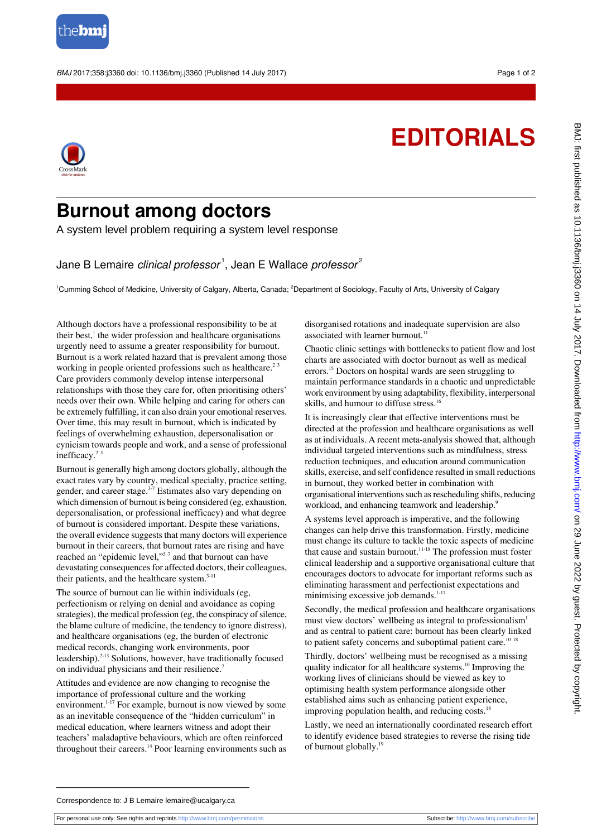

BMJ 2017;358:j3360 doi: 10.1136/bmj.j3360 (Published 14 July 2017) Page 1 of 2

## **EDITORIALS**



## **Burnout among doctors**

A system level problem requiring a system level response

Jane B Lemaire *clinical professor*  $^1$ , Jean E Wallace *professor* $^2$ 

<sup>1</sup>Cumming School of Medicine, University of Calgary, Alberta, Canada; <sup>2</sup>Department of Sociology, Faculty of Arts, University of Calgary

Although doctors have a professional responsibility to be at their best,<sup>1</sup> the wider profession and healthcare organisations urgently need to assume a greater responsibility for burnout. Burnout is a work related hazard that is prevalent among those working in people oriented professions such as healthcare.<sup>23</sup> Care providers commonly develop intense interpersonal relationships with those they care for, often prioritising others' needs over their own. While helping and caring for others can be extremely fulfilling, it can also drain your emotional reserves. Over time, this may result in burnout, which is indicated by feelings of overwhelming exhaustion, depersonalisation or cynicism towards people and work, and a sense of professional inefficacy.<sup>23</sup>

Burnout is generally high among doctors globally, although the exact rates vary by country, medical specialty, practice setting, gender, and career stage.<sup>3-7</sup> Estimates also vary depending on which dimension of burnout is being considered (eg, exhaustion, depersonalisation, or professional inefficacy) and what degree of burnout is considered important. Despite these variations, the overall evidence suggests that many doctors will experience burnout in their careers, that burnout rates are rising and have reached an "epidemic level,"<sup>57</sup> and that burnout can have devastating consequences for affected doctors, their colleagues, their patients, and the healthcare system.<sup>3-11</sup>

The source of burnout can lie within individuals (eg, perfectionism or relying on denial and avoidance as coping strategies), the medical profession (eg, the conspiracy of silence, the blame culture of medicine, the tendency to ignore distress), and healthcare organisations (eg, the burden of electronic medical records, changing work environments, poor leadership).<sup>2-13</sup> Solutions, however, have traditionally focused on individual physicians and their resilience.<sup>7</sup>

Attitudes and evidence are now changing to recognise the importance of professional culture and the working environment.<sup>1-17</sup> For example, burnout is now viewed by some as an inevitable consequence of the "hidden curriculum" in medical education, where learners witness and adopt their teachers' maladaptive behaviours, which are often reinforced throughout their careers.<sup>14</sup> Poor learning environments such as disorganised rotations and inadequate supervision are also associated with learner burnout.<sup>1</sup>

Chaotic clinic settings with bottlenecks to patient flow and lost charts are associated with doctor burnout as well as medical errors.<sup>15</sup> Doctors on hospital wards are seen struggling to maintain performance standards in a chaotic and unpredictable work environment by using adaptability, flexibility, interpersonal skills, and humour to diffuse stress.<sup>16</sup>

It is increasingly clear that effective interventions must be directed at the profession and healthcare organisations as well as at individuals. A recent meta-analysis showed that, although individual targeted interventions such as mindfulness, stress reduction techniques, and education around communication skills, exercise, and self confidence resulted in small reductions in burnout, they worked better in combination with organisational interventions such as rescheduling shifts, reducing workload, and enhancing teamwork and leadership.<sup>9</sup>

A systems level approach is imperative, and the following changes can help drive this transformation. Firstly, medicine must change its culture to tackle the toxic aspects of medicine that cause and sustain burnout.<sup>11-18</sup> The profession must foster clinical leadership and a supportive organisational culture that encourages doctors to advocate for important reforms such as eliminating harassment and perfectionist expectations and minimising excessive job demands.<sup>1-17</sup>

Secondly, the medical profession and healthcare organisations must view doctors' wellbeing as integral to professionalism<sup>1</sup> and as central to patient care: burnout has been clearly linked to patient safety concerns and suboptimal patient care.<sup>10 18</sup>

Thirdly, doctors' wellbeing must be recognised as a missing quality indicator for all healthcare systems.<sup>10</sup> Improving the working lives of clinicians should be viewed as key to optimising health system performance alongside other established aims such as enhancing patient experience, improving population health, and reducing costs. $18$ 

Lastly, we need an internationally coordinated research effort to identify evidence based strategies to reverse the rising tide of burnout globally.<sup>19</sup>